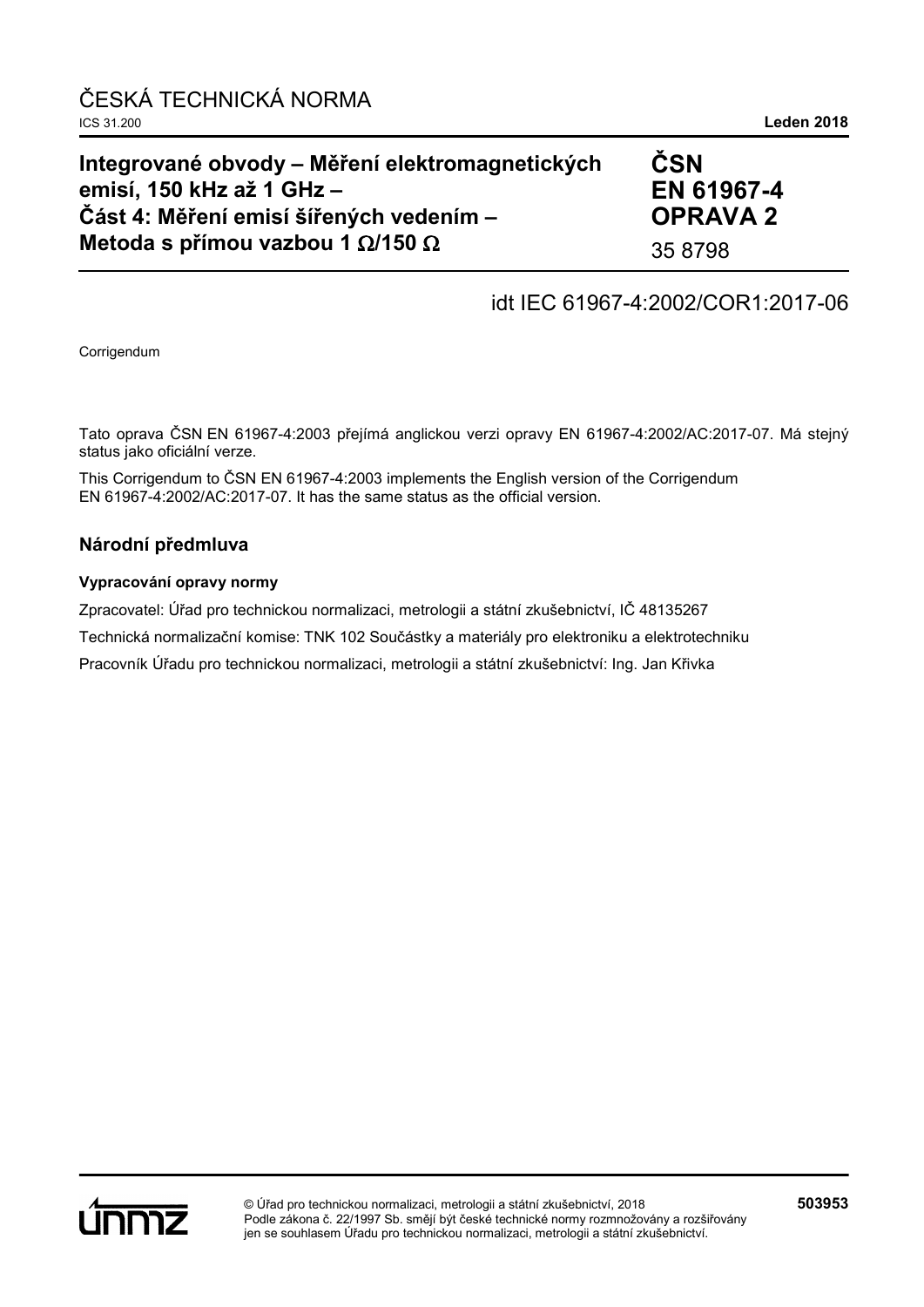ČESKÁ TECHNICKÁ NORMA ICS 31.200 **Leden 2018**

## **Integrované obvody – Měření elektromagnetických emisí, 150 kHz až 1 GHz – Část 4: Měření emisí šířených vedením – Metoda s přímou vazbou 1** Ω**/150** Ω

# **ČSN EN 61967-4 OPRAVA 2**

35 8798

### idt IEC 61967-4:2002/COR1:2017-06

**Corrigendum** 

Tato oprava ČSN EN 61967-4:2003 přejímá anglickou verzi opravy EN 61967-4:2002/AC:2017-07. Má stejný status jako oficiální verze.

This Corrigendum to ČSN EN 61967-4:2003 implements the English version of the Corrigendum EN 61967-4:2002/AC:2017-07. It has the same status as the official version.

### **Národní předmluva**

#### **Vypracování opravy normy**

Zpracovatel: Úřad pro technickou normalizaci, metrologii a státní zkušebnictví, IČ 48135267

Technická normalizační komise: TNK 102 Součástky a materiály pro elektroniku a elektrotechniku

Pracovník Úřadu pro technickou normalizaci, metrologii a státní zkušebnictví: Ing. Jan Křivka

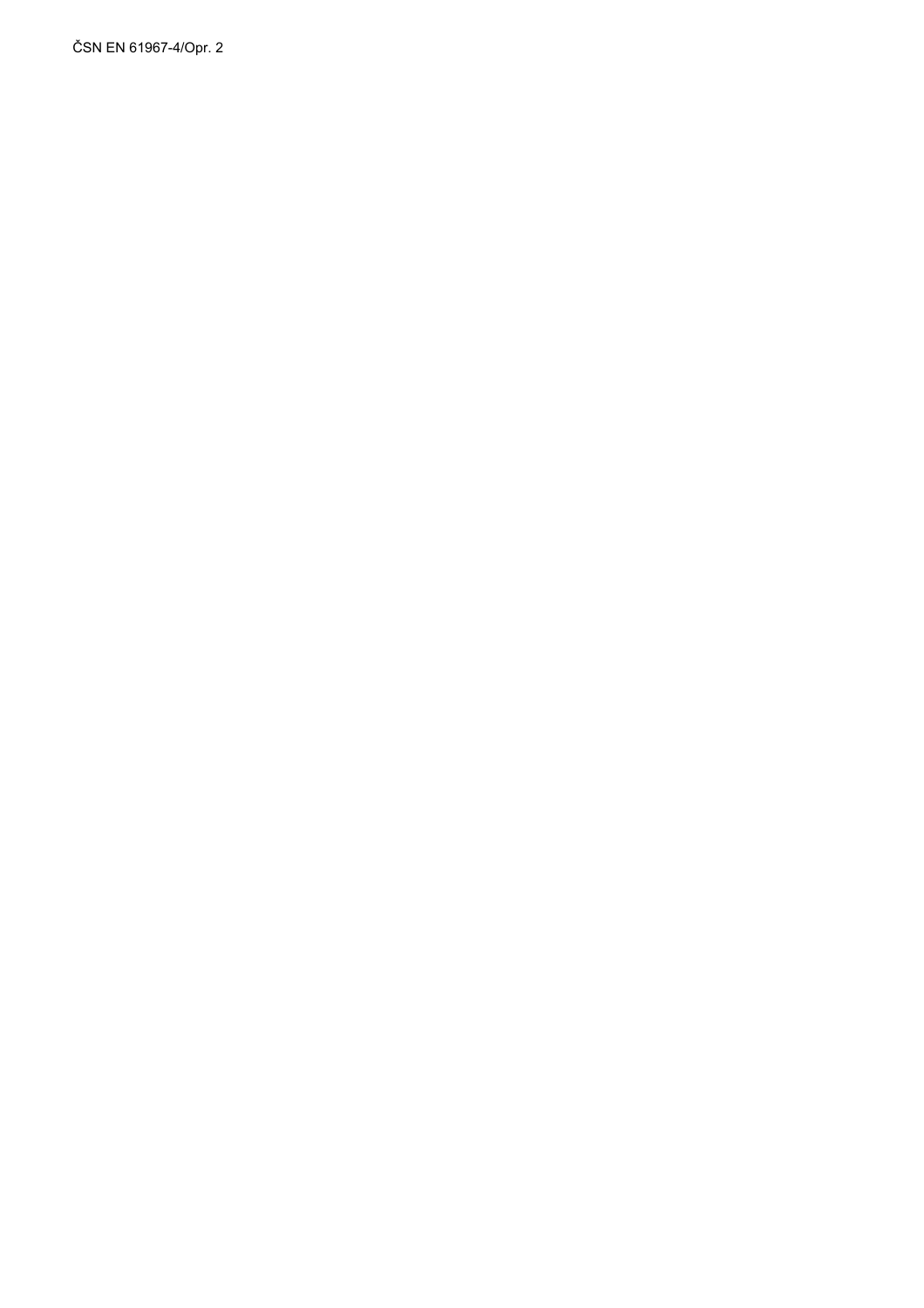ČSN EN 61967-4/Opr. 2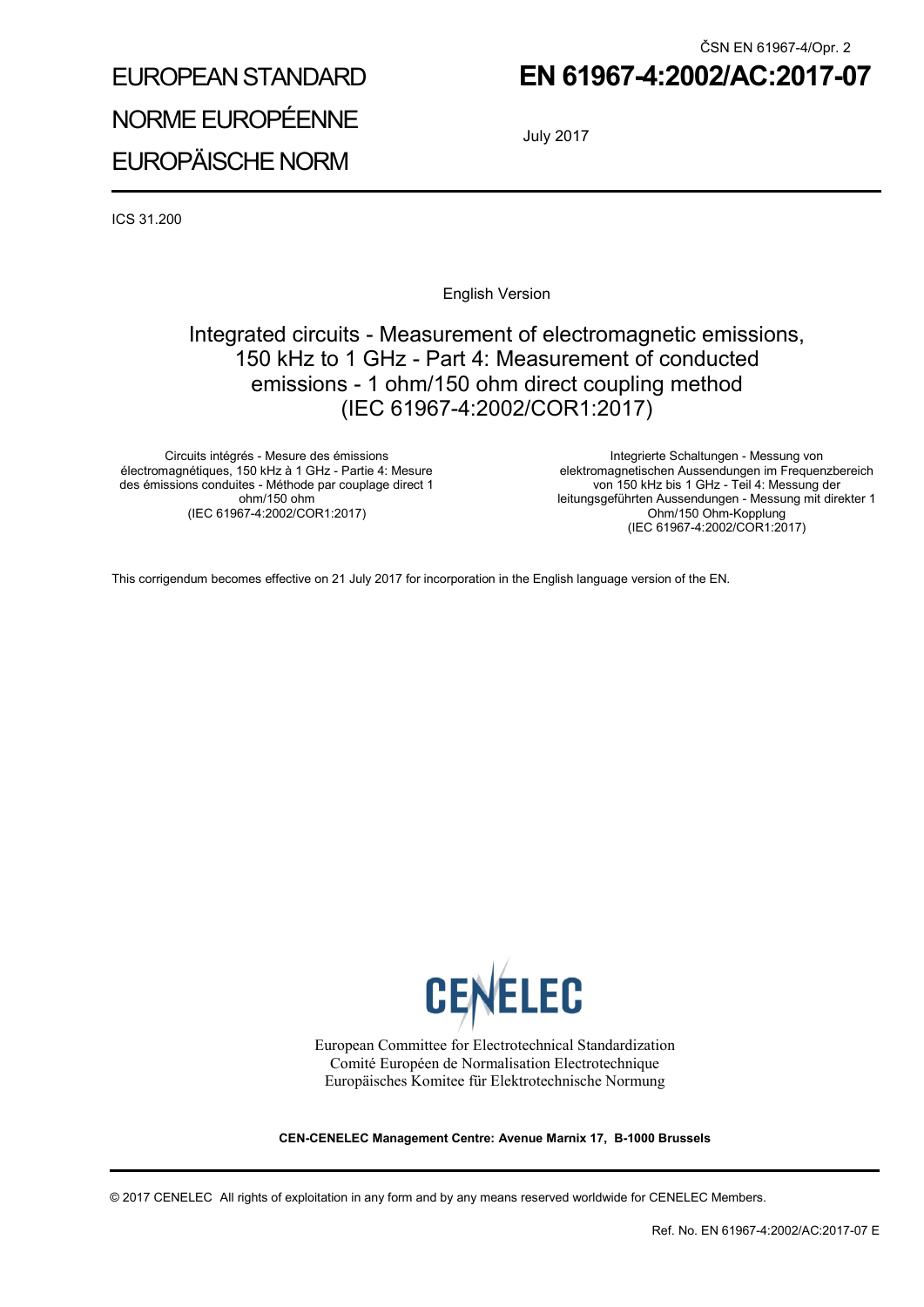# EUROPEAN STANDARD NORME EUROPÉENNE EUROPÄISCHE NORM



July 2017

ICS 31.200

English Version

### Integrated circuits - Measurement of electromagnetic emissions, 150 kHz to 1 GHz - Part 4: Measurement of conducted emissions - 1 ohm/150 ohm direct coupling method (IEC 61967-4:2002/COR1:2017)

Circuits intégrés - Mesure des émissions électromagnétiques, 150 kHz à 1 GHz - Partie 4: Mesure des émissions conduites - Méthode par couplage direct 1 ohm/150 ohm (IEC 61967-4:2002/COR1:2017)

 Integrierte Schaltungen - Messung von elektromagnetischen Aussendungen im Frequenzbereich von 150 kHz bis 1 GHz - Teil 4: Messung der leitungsgeführten Aussendungen - Messung mit direkter 1 Ohm/150 Ohm-Kopplung (IEC 61967-4:2002/COR1:2017)

This corrigendum becomes effective on 21 July 2017 for incorporation in the English language version of the EN.



European Committee for Electrotechnical Standardization Comité Européen de Normalisation Electrotechnique Europäisches Komitee für Elektrotechnische Normung

**CEN-CENELEC Management Centre: Avenue Marnix 17, B-1000 Brussels** 

© 2017 CENELEC All rights of exploitation in any form and by any means reserved worldwide for CENELEC Members.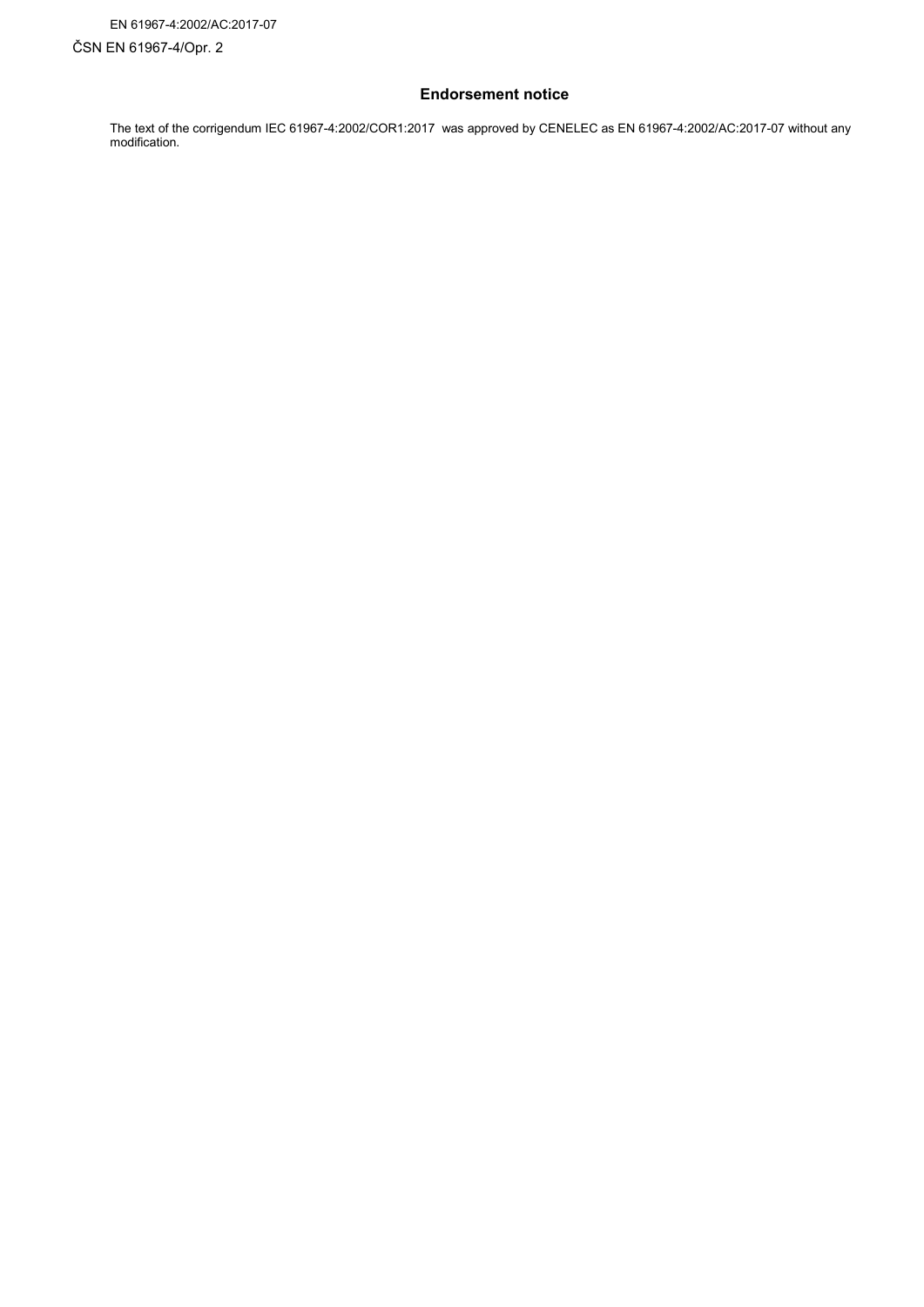EN 61967-4:2002/AC:2017-07

ČSN EN 61967-4/Opr. 2

### **Endorsement notice**

The text of the corrigendum IEC 61967-4:2002/COR1:2017 was approved by CENELEC as EN 61967-4:2002/AC:2017-07 without any modification.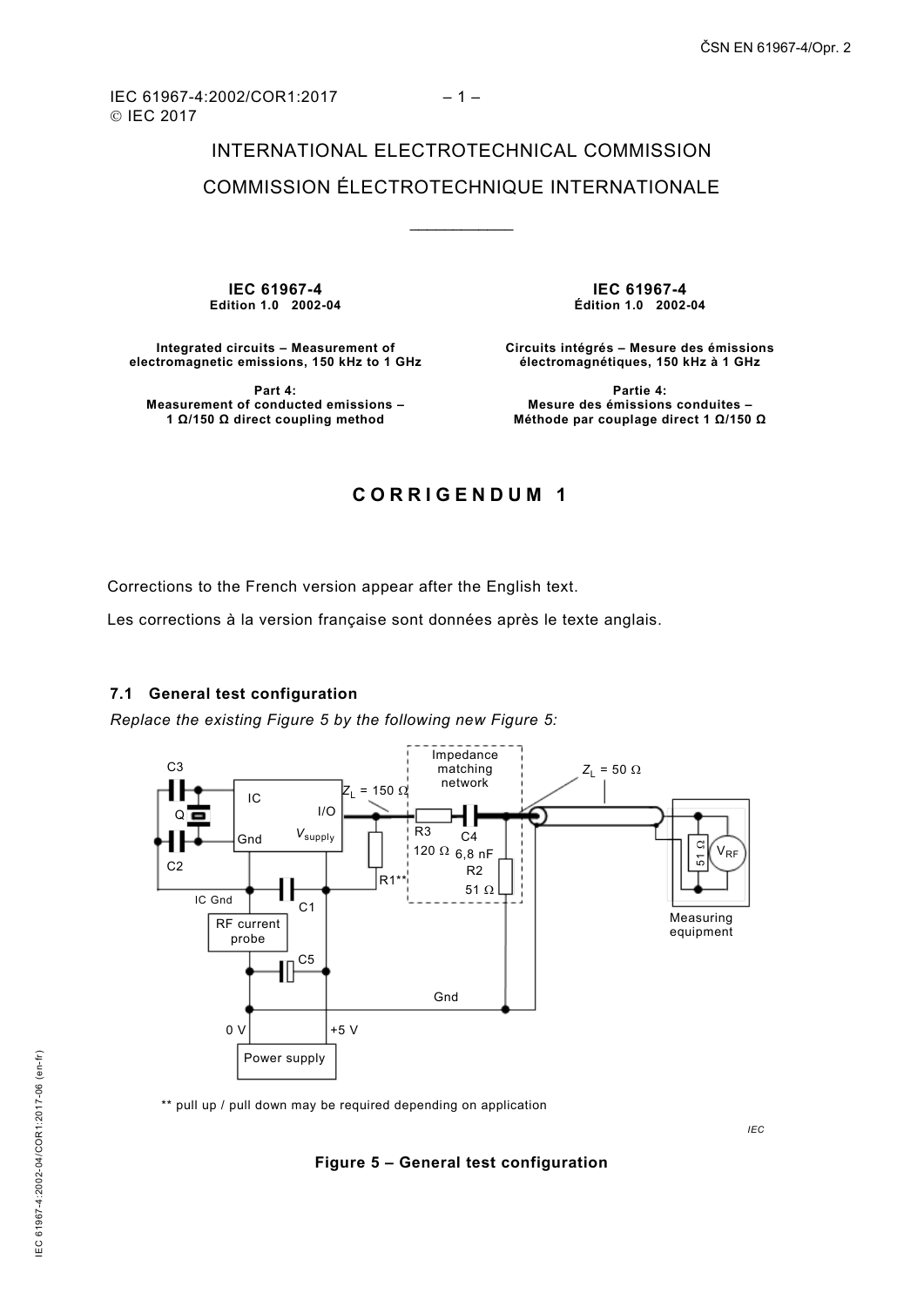IEC 61967-4:2002/COR1:2017 – 1 – © IEC 2017

\_\_\_\_\_\_\_\_\_\_\_\_

**IEC 61967-4 Edition 1.0 2002-04**

**Integrated circuits – Measurement of electromagnetic emissions, 150 kHz to 1 GHz** 

**Part 4: Measurement of conducted emissions – 1 Ω/150 Ω direct coupling method**

**IEC 61967-4 Édition 1.0 2002-04**

**Circuits intégrés – Mesure des émissions électromagnétiques, 150 kHz à 1 GHz** 

**Partie 4: Mesure des émissions conduites – Méthode par couplage direct 1 Ω/150 Ω**

### **CORRIGENDUM 1**

Corrections to the French version appear after the English text.

Les corrections à la version française sont données après le texte anglais.

#### **7.1 General test configuration**

*Replace the existing Figure 5 by the following new Figure 5:*



\*\* pull up / pull down may be required depending on application

*IEC*

#### **Figure 5 – General test configuration**